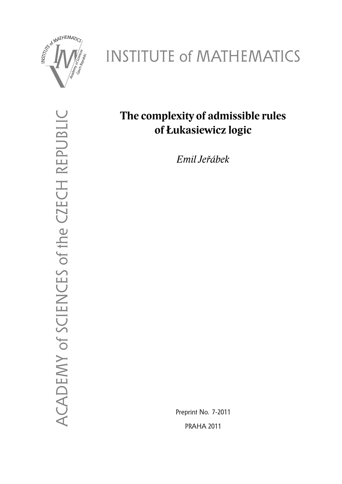

# INSTITUTE of MATHEMATICS

ACADEMY of SCIENCES of the CZECH REPUBLIC ACADEMY of SCIENCES of the CZECH REPUBLIC

# **The complexity of admissible rules of Łukasiewicz logic**

*Emil Jeřábek*

Preprint No. 7-2011 PRAHA 2011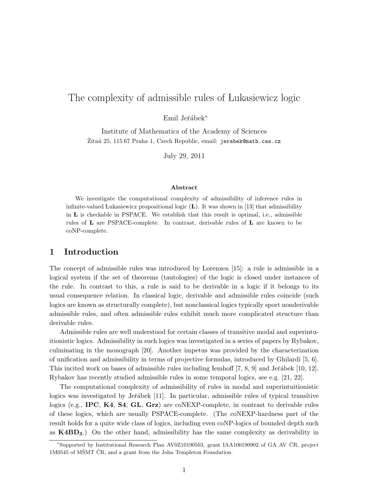# The complexity of admissible rules of Lukasiewicz logic

Emil Jeřábek<sup>\*</sup>

Institute of Mathematics of the Academy of Sciences Žitná 25, 115 67 Praha 1, Czech Republic, email: jerabek@math.cas.cz

July 29, 2011

#### Abstract

We investigate the computational complexity of admissibility of inference rules in infinite-valued Lukasiewicz propositional logic  $(L)$ . It was shown in [13] that admissibility in  **is checkable in PSPACE. We establish that this result is optimal, i.e., admissible** rules of L are PSPACE-complete. In contrast, derivable rules of L are known to be coNP-complete.

## 1 Introduction

The concept of admissible rules was introduced by Lorenzen [15]: a rule is admissible in a logical system if the set of theorems (tautologies) of the logic is closed under instances of the rule. In contrast to this, a rule is said to be derivable in a logic if it belongs to its usual consequence relation. In classical logic, derivable and admissible rules coincide (such logics are known as structurally complete), but nonclassical logics typically sport nonderivable admissible rules, and often admissible rules exhibit much more complicated structure than derivable rules.

Admissible rules are well understood for certain classes of transitive modal and superintuitionistic logics. Admissibility in such logics was investigated in a series of papers by Rybakov, culminating in the monograph [20]. Another impetus was provided by the characterization of unification and admissibility in terms of projective formulas, introduced by Ghilardi [5, 6]. This incited work on bases of admissible rules including Iemhoff  $[7, 8, 9]$  and Jeřábek  $[10, 12]$ . Rybakov has recently studied admissible rules in some temporal logics, see e.g. [21, 22].

The computational complexity of admissibility of rules in modal and superintuitionistic logics was investigated by Jeřábek [11]. In particular, admissible rules of typical transitive logics (e.g., **IPC, K4, S4, GL, Grz)** are coNEXP-complete, in contrast to derivable rules of these logics, which are usually PSPACE-complete. (The coNEXP-hardness part of the result holds for a quite wide class of logics, including even coNP-logics of bounded depth such as  $K4BD_3$ .) On the other hand, admissibility has the same complexity as derivability in

<sup>∗</sup>Supported by Institutional Research Plan AV0Z10190503, grant IAA100190902 of GA AV CR, project ˇ 1M0545 of MSMT CR, and a grant from the John Templeton Foundation.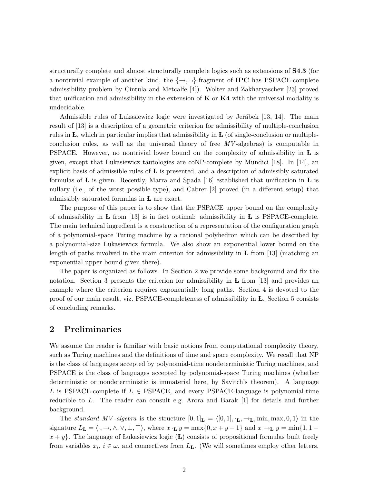structurally complete and almost structurally complete logics such as extensions of S4.3 (for a nontrivial example of another kind, the  $\{\rightarrow, \neg\}$ -fragment of **IPC** has PSPACE-complete admissibility problem by Cintula and Metcalfe [4]). Wolter and Zakharyaschev [23] proved that unification and admissibility in the extension of  $\bf{K}$  or  $\bf{K4}$  with the universal modality is undecidable.

Admissible rules of Lukasiewicz logic were investigated by Jeřábek [13, 14]. The main result of [13] is a description of a geometric criterion for admissibility of multiple-conclusion rules in  $\bf{L}$ , which in particular implies that admissibility in  $\bf{L}$  (of single-conclusion or multipleconclusion rules, as well as the universal theory of free  $MV$ -algebras) is computable in **PSPACE.** However, no nontrivial lower bound on the complexity of admissibility in  $\bf{L}$  is given, except that Lukasiewicz tautologies are coNP-complete by Mundici [18]. In [14], an explicit basis of admissible rules of  **is presented, and a description of admissibly saturated** formulas of **L** is given. Recently, Marra and Spada [16] established that unification in **L** is nullary (i.e., of the worst possible type), and Cabrer [2] proved (in a different setup) that admissibly saturated formulas in L are exact.

The purpose of this paper is to show that the PSPACE upper bound on the complexity of admissibility in  $\bf{L}$  from [13] is in fact optimal: admissibility in  $\bf{L}$  is PSPACE-complete. The main technical ingredient is a construction of a representation of the configuration graph of a polynomial-space Turing machine by a rational polyhedron which can be described by a polynomial-size Lukasiewicz formula. We also show an exponential lower bound on the length of paths involved in the main criterion for admissibility in **L** from [13] (matching an exponential upper bound given there).

The paper is organized as follows. In Section 2 we provide some background and fix the notation. Section 3 presents the criterion for admissibility in  $\bf{L}$  from [13] and provides an example where the criterion requires exponentially long paths. Section 4 is devoted to the proof of our main result, viz. PSPACE-completeness of admissibility in L. Section 5 consists of concluding remarks.

# 2 Preliminaries

We assume the reader is familiar with basic notions from computational complexity theory, such as Turing machines and the definitions of time and space complexity. We recall that NP is the class of languages accepted by polynomial-time nondeterministic Turing machines, and PSPACE is the class of languages accepted by polynomial-space Turing machines (whether deterministic or nondeterministic is immaterial here, by Savitch's theorem). A language L is PSPACE-complete if  $L \in PSPACE$ , and every PSPACE-language is polynomial-time reducible to  $L$ . The reader can consult e.g. Arora and Barak  $[1]$  for details and further background.

The standard MV-algebra is the structure  $[0, 1]_L = \langle [0, 1], \cdot_L, \to_L, \min, \max, 0, 1 \rangle$  in the signature  $L_{\mathbf{L}} = \langle \cdot, \to, \wedge, \vee, \bot, \top \rangle$ , where  $x \cdot_{\mathbf{L}} y = \max\{0, x + y - 1\}$  and  $x \to_{\mathbf{L}} y = \min\{1, 1 - \bot\}$  $x + y$ . The language of Lukasiewicz logic (L) consists of propositional formulas built freely from variables  $x_i, i \in \omega$ , and connectives from  $L_{\mathbf{L}}$ . (We will sometimes employ other letters,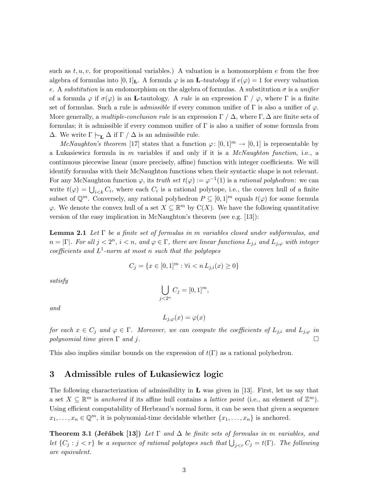such as  $t, u, v$ , for propositional variables.) A valuation is a homomorphism e from the free algebra of formulas into  $[0,1]$ <sub>**L**</sub>. A formula  $\varphi$  is an **L**-tautology if  $e(\varphi) = 1$  for every valuation e. A substitution is an endomorphism on the algebra of formulas. A substitution  $\sigma$  is a unifier of a formula  $\varphi$  if  $\sigma(\varphi)$  is an **L**-tautology. A *rule* is an expression  $\Gamma$  /  $\varphi$ , where  $\Gamma$  is a finite set of formulas. Such a rule is *admissible* if every common unifier of  $\Gamma$  is also a unifier of  $\varphi$ . More generally, a multiple-conclusion rule is an expression  $\Gamma / \Delta$ , where  $\Gamma, \Delta$  are finite sets of formulas; it is admissible if every common unifier of Γ is also a unifier of some formula from  $\Delta$ . We write  $\Gamma \vdash_L \Delta$  if  $\Gamma / \Delta$  is an admissible rule.

McNaughton's theorem [17] states that a function  $\varphi: [0,1]^m \to [0,1]$  is representable by a Lukasiewicz formula in m variables if and only if it is a McNaughton function, i.e., a continuous piecewise linear (more precisely, affine) function with integer coefficients. We will identify formulas with their McNaughton functions when their syntactic shape is not relevant. For any McNaughton function  $\varphi$ , its truth set  $t(\varphi) := \varphi^{-1}(1)$  is a rational polyhedron: we can write  $t(\varphi) = \bigcup_{i \leq k} C_i$ , where each  $C_i$  is a rational polytope, i.e., the convex hull of a finite subset of  $\mathbb{Q}^m$ . Conversely, any rational polyhedron  $P \subseteq [0,1]^m$  equals  $t(\varphi)$  for some formula  $\varphi$ . We denote the convex hull of a set  $X \subseteq \mathbb{R}^m$  by  $C(X)$ . We have the following quantitative version of the easy implication in McNaughton's theorem (see e.g. [13]):

**Lemma 2.1** Let  $\Gamma$  be a finite set of formulas in m variables closed under subformulas, and  $n = |\Gamma|$ . For all  $j < 2^n$ ,  $i < n$ , and  $\varphi \in \Gamma$ , there are linear functions  $L_{j,i}$  and  $L_{j,\varphi}$  with integer coefficients and  $L^1$ -norm at most n such that the polytopes

$$
C_j = \{ x \in [0,1]^m : \forall i < n \, L_{j,i}(x) \ge 0 \}
$$

satisfy

$$
\bigcup_{j<2^n} C_j = [0,1]^m,
$$

and

$$
L_{j,\varphi}(x) = \varphi(x)
$$

for each  $x \in C_j$  and  $\varphi \in \Gamma$ . Moreover, we can compute the coefficients of  $L_{j,i}$  and  $L_{j,\varphi}$  in polynomial time given  $\Gamma$  and j.

This also implies similar bounds on the expression of  $t(\Gamma)$  as a rational polyhedron.

# 3 Admissible rules of Lukasiewicz logic

The following characterization of admissibility in **L** was given in [13]. First, let us say that a set  $X \subseteq \mathbb{R}^m$  is anchored if its affine hull contains a *lattice point* (i.e., an element of  $\mathbb{Z}^m$ ). Using efficient computability of Herbrand's normal form, it can be seen that given a sequence  $x_1, \ldots, x_n \in \mathbb{Q}^m$ , it is polynomial-time decidable whether  $\{x_1, \ldots, x_n\}$  is anchored.

**Theorem 3.1 (Jeřábek [13])** Let  $\Gamma$  and  $\Delta$  be finite sets of formulas in m variables, and let  $\{C_j : j < r\}$  be a sequence of rational polytopes such that  $\bigcup_{j < r} C_j = t(\Gamma)$ . The following are equivalent.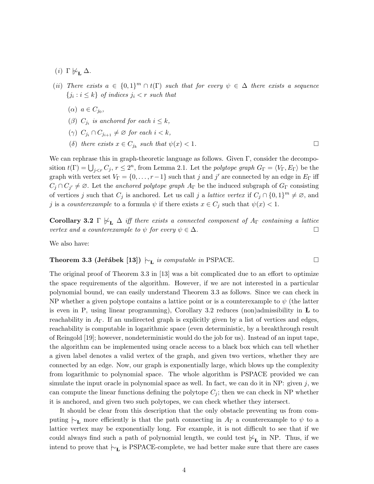- (*i*) Γ  $\not\vdash_{\mathbf{r}} \Delta$ .
- (ii) There exists  $a \in \{0,1\}^m \cap t(\Gamma)$  such that for every  $\psi \in \Delta$  there exists a sequence  $\{j_i : i \leq k\}$  of indices  $j_i < r$  such that
	- $(\alpha)$   $a \in C_{j_0},$
	- ( $\beta$ )  $C_{j_i}$  is anchored for each  $i \leq k$ ,
	- ( $\gamma$ )  $C_{j_i} \cap C_{j_{i+1}} \neq \emptyset$  for each  $i < k$ ,
	- (δ) there exists  $x \in C_{j_k}$  such that  $\psi(x) < 1$ .

We can rephrase this in graph-theoretic language as follows. Given  $\Gamma$ , consider the decomposition  $t(\Gamma) = \bigcup_{j \leq r} C_j$ ,  $r \leq 2^n$ , from Lemma 2.1. Let the polytope graph  $G_{\Gamma} = \langle V_{\Gamma}, E_{\Gamma} \rangle$  be the graph with vertex set  $V_{\Gamma} = \{0, \ldots, r-1\}$  such that j and j' are connected by an edge in  $E_{\Gamma}$  iff  $C_j \cap C_{j'} \neq \emptyset$ . Let the anchored polytope graph  $A_{\Gamma}$  be the induced subgraph of  $G_{\Gamma}$  consisting of vertices j such that  $C_j$  is anchored. Let us call j a *lattice vertex* if  $C_j \cap \{0,1\}^m \neq \emptyset$ , and j is a counterexample to a formula  $\psi$  if there exists  $x \in C_j$  such that  $\psi(x) < 1$ .

**Corollary 3.2** Γ  $\nvDash_{\mathbf{L}} \Delta$  iff there exists a connected component of  $A_{\Gamma}$  containing a lattice vertex and a counterexample to  $\psi$  for every  $\psi \in \Delta$ .

We also have:

**Theorem 3.3 (Jerábek [13])** 
$$
\vdash_{\mathbf{L}}
$$
 is computable in PSPACE.

The original proof of Theorem 3.3 in [13] was a bit complicated due to an effort to optimize the space requirements of the algorithm. However, if we are not interested in a particular polynomial bound, we can easily understand Theorem 3.3 as follows. Since we can check in NP whether a given polytope contains a lattice point or is a counterexample to  $\psi$  (the latter is even in P, using linear programming), Corollary 3.2 reduces (non)admissibility in  $\bf{L}$  to reachability in  $A_{\Gamma}$ . If an undirected graph is explicitly given by a list of vertices and edges, reachability is computable in logarithmic space (even deterministic, by a breakthrough result of Reingold [19]; however, nondeterministic would do the job for us). Instead of an input tape, the algorithm can be implemented using oracle access to a black box which can tell whether a given label denotes a valid vertex of the graph, and given two vertices, whether they are connected by an edge. Now, our graph is exponentially large, which blows up the complexity from logarithmic to polynomial space. The whole algorithm is PSPACE provided we can simulate the input oracle in polynomial space as well. In fact, we can do it in  $NP:$  given j, we can compute the linear functions defining the polytope  $C_j$ ; then we can check in NP whether it is anchored, and given two such polytopes, we can check whether they intersect.

It should be clear from this description that the only obstacle preventing us from computing  $\vdash_L$  more efficiently is that the path connecting in A<sub>Γ</sub> a counterexample to  $\psi$  to a lattice vertex may be exponentially long. For example, it is not difficult to see that if we could always find such a path of polynomial length, we could test  $\not\vdash_{\mathbf{L}}$  in NP. Thus, if we intend to prove that  $\vdash_{\mathbf{L}}$  is PSPACE-complete, we had better make sure that there are cases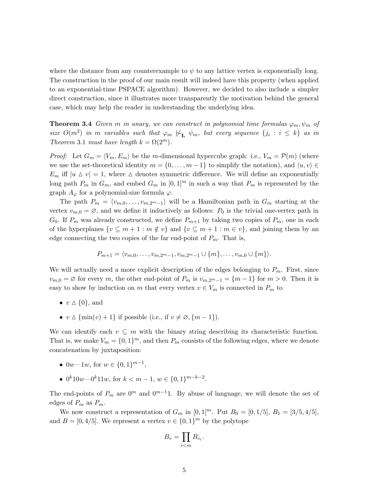where the distance from any counterexample to  $\psi$  to any lattice vertex is exponentially long. The construction in the proof of our main result will indeed have this property (when applied to an exponential-time PSPACE algorithm). However, we decided to also include a simpler direct construction, since it illustrates more transparently the motivation behind the general case, which may help the reader in understanding the underlying idea.

**Theorem 3.4** Given m in unary, we can construct in polynomial time formulas  $\varphi_m, \psi_m$  of size  $O(m^2)$  in m variables such that  $\varphi_m \not\vdash_{\mathbf{L}} \psi_m$ , but every sequence  $\{j_i : i \leq k\}$  as in Theorem 3.1 must have length  $k = \Omega(2^m)$ .

*Proof:* Let  $G_m = \langle V_m, E_m \rangle$  be the m-dimensional hypercube graph: i.e.,  $V_m = \mathcal{P}(m)$  (where we use the set-theoretical identity  $m = \{0, \ldots, m-1\}$  to simplify the notation), and  $\langle u, v \rangle \in$  $E_m$  iff  $|u \Delta v| = 1$ , where  $\Delta$  denotes symmetric difference. We will define an exponentially long path  $P_m$  in  $G_m$ , and embed  $G_m$  in  $[0,1]^m$  in such a way that  $P_m$  is represented by the graph  $A_{\varphi}$  for a polynomial-size formula  $\varphi$ .

The path  $P_m = \langle v_{m,0}, \ldots, v_{m,2^m-1} \rangle$  will be a Hamiltonian path in  $G_m$  starting at the vertex  $v_{m,0} = \emptyset$ , and we define it inductively as follows:  $P_0$  is the trivial one-vertex path in  $G_0$ . If  $P_m$  was already constructed, we define  $P_{m+1}$  by taking two copies of  $P_m$ , one in each of the hyperplanes  $\{v \subseteq m+1 : m \notin v\}$  and  $\{v \subseteq m+1 : m \in v\}$ , and joining them by an edge connecting the two copies of the far end-point of  $P_m$ . That is,

$$
P_{m+1} = \langle v_{m,0}, \ldots, v_{m,2^{m}-1}, v_{m,2^{m}-1} \cup \{m\}, \ldots, v_{m,0} \cup \{m\} \rangle.
$$

We will actually need a more explicit description of the edges belonging to  $P_m$ . First, since  $v_{m,0} = \emptyset$  for every m, the other end-point of  $P_m$  is  $v_{m,2^m-1} = \{m-1\}$  for  $m > 0$ . Then it is easy to show by induction on m that every vertex  $v \in V_m$  is connected in  $P_m$  to

- $v \Delta \{0\}$ , and
- $v \Delta \{\min(v) + 1\}$  if possible (i.e., if  $v \neq \emptyset, \{m 1\}$ ).

We can identify each  $v \subseteq m$  with the binary string describing its characteristic function. That is, we make  $V_m = \{0, 1\}^m$ , and then  $P_m$  consists of the following edges, where we denote concatenation by juxtaposition:

- 0w—1w, for  $w \in \{0,1\}^{m-1}$ ,
- 0<sup>k</sup>10w–0<sup>k</sup>11w, for  $k < m-1$ ,  $w \in \{0,1\}^{m-k-2}$ .

The end-points of  $P_m$  are  $0^m$  and  $0^{m-1}1$ . By abuse of language, we will denote the set of edges of  $P_m$  as  $P_m$ .

We now construct a representation of  $G_m$  in [0, 1]<sup>m</sup>. Put  $B_0 = [0, 1/5]$ ,  $B_1 = [3/5, 4/5]$ , and  $B = [0, 4/5]$ . We represent a vertex  $v \in \{0, 1\}^m$  by the polytope

$$
B_v = \prod_{i < m} B_{v_i}.
$$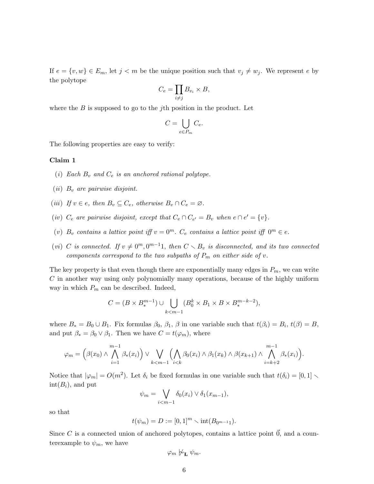If  $e = \{v, w\} \in E_m$ , let  $j < m$  be the unique position such that  $v_j \neq w_j$ . We represent e by the polytope

$$
C_e = \prod_{i \neq j} B_{v_i} \times B,
$$

where the  $B$  is supposed to go to the *j*th position in the product. Let

$$
C = \bigcup_{e \in P_m} C_e.
$$

The following properties are easy to verify:

#### Claim 1

- (i) Each  $B_v$  and  $C_e$  is an anchored rational polytope.
- (*ii*)  $B_v$  are pairwise disjoint.
- (iii) If  $v \in e$ , then  $B_v \subseteq C_e$ , otherwise  $B_v \cap C_e = \emptyset$ .
- (iv)  $C_e$  are pairwise disjoint, except that  $C_e \cap C_{e'} = B_v$  when  $e \cap e' = \{v\}.$
- (v)  $B_v$  contains a lattice point iff  $v = 0^m$ .  $C_e$  contains a lattice point iff  $0^m \in e$ .
- (vi) C is connected. If  $v \neq 0^m, 0^{m-1}1$ , then  $C \setminus B_v$  is disconnected, and its two connected components correspond to the two subpaths of  $P_m$  on either side of v.

The key property is that even though there are exponentially many edges in  $P_m$ , we can write  $C$  in another way using only polynomially many operations, because of the highly uniform way in which  $P_m$  can be described. Indeed,

$$
C = (B \times B_*^{m-1}) \cup \bigcup_{k < m-1} (B_0^k \times B_1 \times B \times B_*^{m-k-2}),
$$

where  $B_* = B_0 \cup B_1$ . Fix formulas  $\beta_0$ ,  $\beta_1$ ,  $\beta$  in one variable such that  $t(\beta_i) = B_i$ ,  $t(\beta) = B$ , and put  $\beta_* = \beta_0 \vee \beta_1$ . Then we have  $C = t(\varphi_m)$ , where

$$
\varphi_m = \left(\beta(x_0) \wedge \bigwedge_{i=1}^{m-1} \beta_*(x_i)\right) \vee \bigvee_{k < m-1} \left(\bigwedge_{i < k} \beta_0(x_i) \wedge \beta_1(x_k) \wedge \beta(x_{k+1}) \wedge \bigwedge_{i=k+2}^{m-1} \beta_*(x_i)\right).
$$

Notice that  $|\varphi_m| = O(m^2)$ . Let  $\delta_i$  be fixed formulas in one variable such that  $t(\delta_i) = [0, 1] \setminus$  $\text{int}(B_i)$ , and put

$$
\psi_m = \bigvee_{i < m-1} \delta_0(x_i) \vee \delta_1(x_{m-1}),
$$

so that

$$
t(\psi_m) = D := [0,1]^m \setminus \mathrm{int}(B_{0^{m-1}1}).
$$

Since C is a connected union of anchored polytopes, contains a lattice point  $\vec{0}$ , and a counterexample to  $\psi_m$ , we have

$$
\varphi_m \not\sim_{\mathbf{L}} \psi_m.
$$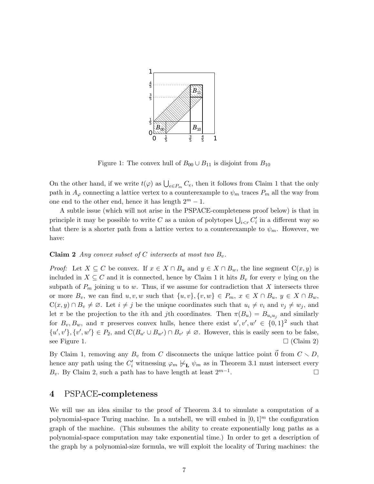

Figure 1: The convex hull of  $B_{00} \cup B_{11}$  is disjoint from  $B_{10}$ 

On the other hand, if we write  $t(\varphi)$  as  $\bigcup_{e \in P_m} C_e$ , then it follows from Claim 1 that the only path in  $A_{\varphi}$  connecting a lattice vertex to a counterexample to  $\psi_m$  traces  $P_m$  all the way from one end to the other end, hence it has length  $2^m - 1$ .

A subtle issue (which will not arise in the PSPACE-completeness proof below) is that in principle it may be possible to write C as a union of polytopes  $\bigcup_{i \leq r} C'_i$  in a different way so that there is a shorter path from a lattice vertex to a counterexample to  $\psi_m$ . However, we have:

#### **Claim 2** Any convex subset of C intersects at most two  $B_v$ .

*Proof:* Let  $X \subseteq C$  be convex. If  $x \in X \cap B_u$  and  $y \in X \cap B_w$ , the line segment  $C(x, y)$  is included in  $X \subseteq C$  and it is connected, hence by Claim 1 it hits  $B_v$  for every v lying on the subpath of  $P_m$  joining u to w. Thus, if we assume for contradiction that X intersects three or more  $B_v$ , we can find  $u, v, w$  such that  $\{u, v\}, \{v, w\} \in P_m$ ,  $x \in X \cap B_u$ ,  $y \in X \cap B_w$ ,  $C(x, y) \cap B_v \neq \emptyset$ . Let  $i \neq j$  be the unique coordinates such that  $u_i \neq v_i$  and  $v_j \neq w_j$ , and let  $\pi$  be the projection to the *i*th and *j*th coordinates. Then  $\pi(B_u) = B_{u_i u_j}$  and similarly for  $B_v, B_w$ , and  $\pi$  preserves convex hulls, hence there exist  $u', v', w' \in \{0, 1\}^2$  such that  $\{u',v'\},\{v',w'\}\in P_2$ , and  $C(B_{u'}\cup B_{w'})\cap B_{v'}\neq\emptyset$ . However, this is easily seen to be false, see Figure 1.  $\square$  (Claim 2)

By Claim 1, removing any  $B_v$  from C disconnects the unique lattice point  $\vec{0}$  from  $C \setminus D$ , hence any path using the  $C_i'$  witnessing  $\varphi_m \not\models_{\mathbf{L}} \psi_m$  as in Theorem 3.1 must intersect every  $B_v$ . By Claim 2, such a path has to have length at least  $2^{m-1}$ . . — Первый профессиональный профессиональный профессиональный профессиональный профессиональный профессиональн<br>В 1990 году в 1990 году в 1990 году в 1990 году в 1990 году в 1990 году в 1990 году в 1990 году в 1990 году в<br>

# 4 PSPACE-completeness

We will use an idea similar to the proof of Theorem 3.4 to simulate a computation of a polynomial-space Turing machine. In a nutshell, we will embed in  $[0, 1]^m$  the configuration graph of the machine. (This subsumes the ability to create exponentially long paths as a polynomial-space computation may take exponential time.) In order to get a description of the graph by a polynomial-size formula, we will exploit the locality of Turing machines: the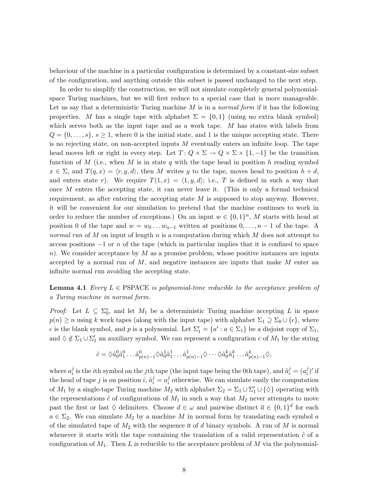behaviour of the machine in a particular configuration is determined by a constant-size subset of the configuration, and anything outside this subset is passed unchanged to the next step.

In order to simplify the construction, we will not simulate completely general polynomialspace Turing machines, but we will first reduce to a special case that is more manageable. Let us say that a deterministic Turing machine  $M$  is in a *normal form* if it has the following properties. M has a single tape with alphabet  $\Sigma = \{0,1\}$  (using no extra blank symbol) which serves both as the input tape and as a work tape. M has states with labels from  $Q = \{0, \ldots, s\}, s \geq 1$ , where 0 is the initial state, and 1 is the unique accepting state. There is no rejecting state, on non-accepted inputs  $M$  eventually enters an infinite loop. The tape head moves left or right in every step. Let  $T: Q \times \Sigma \to Q \times \Sigma \times \{1, -1\}$  be the transition function of M (i.e., when M is in state q with the tape head in position h reading symbol  $x \in \Sigma$ , and  $T(q, x) = \langle r, y, d \rangle$ , then M writes y to the tape, moves head to position  $h + d$ , and enters state r). We require  $T(1, x) = \langle 1, y, d \rangle$ ; i.e., T is defined in such a way that once M enters the accepting state, it can never leave it. (This is only a formal technical requirement, as after entering the accepting state  $M$  is supposed to stop anyway. However, it will be convenient for our simulation to pretend that the machine continues to work in order to reduce the number of exceptions.) On an input  $w \in \{0,1\}^n$ , M starts with head at position 0 of the tape and  $w = w_0 \dots w_{n-1}$  written at positions  $0, \dots, n-1$  of the tape. A normal run of M on input of length n is a computation during which M does not attempt to access positions  $-1$  or n of the tape (which in particular implies that it is confined to space n). We consider acceptance by  $M$  as a promise problem, whose positive instances are inputs accepted by a normal run of  $M$ , and negative instances are inputs that make  $M$  enter an infinite normal run avoiding the accepting state.

**Lemma 4.1** Every  $L \in PSPACE$  is polynomial-time reducible to the acceptance problem of a Turing machine in normal form.

*Proof:* Let  $L \subseteq \Sigma_0^*$ , and let  $M_1$  be a deterministic Turing machine accepting L in space  $p(n) \geq n$  using k work tapes (along with the input tape) with alphabet  $\Sigma_1 \supseteq \Sigma_0 \cup {\{\epsilon\}}$ , where  $\epsilon$  is the blank symbol, and p is a polynomial. Let  $\Sigma'_1 = \{a' : a \in \Sigma_1\}$  be a disjoint copy of  $\Sigma_1$ , and  $\Diamond \notin \Sigma_1 \cup \Sigma'_1$  an auxiliary symbol. We can represent a configuration c of  $M_1$  by the string

$$
\tilde{c} = \lozenge \tilde{a}_0^0 \tilde{a}_1^0 \dots \tilde{a}_{p(n)-1}^0 \lozenge \tilde{a}_0^1 \tilde{a}_1^1 \dots \tilde{a}_{p(n)-1}^1 \lozenge \dots \lozenge \tilde{a}_0^k \tilde{a}_1^k \dots \tilde{a}_{p(n)-1}^k \lozenge,
$$

where  $a_i^j$  $i_i^j$  is the *i*th symbol on the *j*th tape (the input tape being the 0th tape), and  $\tilde{a}_i^j = (a_i^j)$  $i^j$ )' if the head of tape *j* is on position *i*,  $\tilde{a}_i^j = a_i^j$  $i$  otherwise. We can simulate easily the computation of  $M_1$  by a single-tape Turing machine  $M_2$  with alphabet  $\Sigma_2 = \Sigma_1 \cup \Sigma'_1 \cup \{\Diamond\}$  operating with the representations  $\tilde{c}$  of configurations of  $M_1$  in such a way that  $M_2$  never attempts to move past the first or last  $\Diamond$  delimiters. Choose  $d \in \omega$  and pairwise distinct  $\overline{a} \in \{0,1\}^d$  for each  $a \in \Sigma_2$ . We can simulate  $M_2$  by a machine M in normal form by translating each symbol a of the simulated tape of  $M_2$  with the sequence  $\bar{a}$  of d binary symbols. A run of M is normal whenever it starts with the tape containing the translation of a valid representation  $\tilde{c}$  of a configuration of  $M_1$ . Then L is reducible to the acceptance problem of M via the polynomial-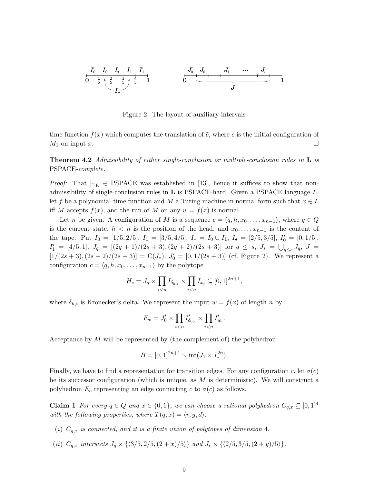0 1 <sup>1</sup> 5 2 5 3 5 4 5 *I I I I I I* • ′ ′ 0 0 1 1 ∗ 0 1 *J J J … J J s* ′0 0 1

Figure 2: The layout of auxiliary intervals

time function  $f(x)$  which computes the translation of  $\tilde{c}$ , where c is the initial configuration of  $M_1$  on input x.

**Theorem 4.2** Admissibility of either single-conclusion or multiple-conclusion rules in  $\bf{L}$  is PSPACE-complete.

*Proof:* That  $\vdash_L \in \text{PSPACE}$  was established in [13], hence it suffices to show that nonadmissibility of single-conclusion rules in  **is PSPACE-hard. Given a PSPACE language**  $L$ **,** let f be a polynomial-time function and M a Turing machine in normal form such that  $x \in L$ iff M accepts  $f(x)$ , and the run of M on any  $w = f(x)$  is normal.

Let *n* be given. A configuration of M is a sequence  $c = \langle q, h, x_0, \ldots, x_{n-1} \rangle$ , where  $q \in Q$ is the current state,  $h < n$  is the position of the head, and  $x_0, \ldots, x_{n-1}$  is the content of the tape. Put  $I_0 = [1/5, 2/5], I_1 = [3/5, 4/5], I_* = I_0 \cup I_1, I_{\bullet} = [2/5, 3/5], I'_0 = [0, 1/5],$  $I'_1 = [4/5, 1], J_q = [(2q + 1)/(2s + 3), (2q + 2)/(2s + 3)]$  for  $q \leq s, J_* = \bigcup_{q \leq s} J_q, J =$  $[1/(2s+3), (2s+2)/(2s+3)] = C(J_*)$ ,  $J'_0 = [0, 1/(2s+3)]$  (cf. Figure 2). We represent a configuration  $c = \langle q, h, x_0, \ldots, x_{n-1} \rangle$  by the polytope

$$
H_c = J_q \times \prod_{i < n} I_{\delta_{h,i}} \times \prod_{i < n} I_{x_i} \subseteq [0,1]^{2n+1},
$$

where  $\delta_{h,i}$  is Kronecker's delta. We represent the input  $w = f(x)$  of length n by

$$
F_w = J'_0 \times \prod_{i < n} I'_{\delta_{0,i}} \times \prod_{i < n} I'_{w_i}
$$

.

Acceptance by M will be represented by (the complement of) the polyhedron

$$
B = [0, 1]^{2n+1} \setminus \text{int}(J_1 \times I_*^{2n}).
$$

Finally, we have to find a representation for transition edges. For any configuration c, let  $\sigma(c)$ be its successor configuration (which is unique, as  $M$  is deterministic). We will construct a polyhedron  $E_c$  representing an edge connecting c to  $\sigma(c)$  as follows.

**Claim 1** For every  $q \in Q$  and  $x \in \{0, 1\}$ , we can choose a rational polyhedron  $C_{q,x} \subseteq [0, 1]^4$ with the following properties, where  $T(q, x) = \langle r, y, d \rangle$ :

- (i)  $C_{q,x}$  is connected, and it is a finite union of polytopes of dimension 4.
- (ii)  $C_{q,x}$  intersects  $J_q \times \{\langle 3/5, 2/5, (2 + x)/5 \rangle\}$  and  $J_r \times \{\langle 2/5, 3/5, (2 + y)/5 \rangle\}.$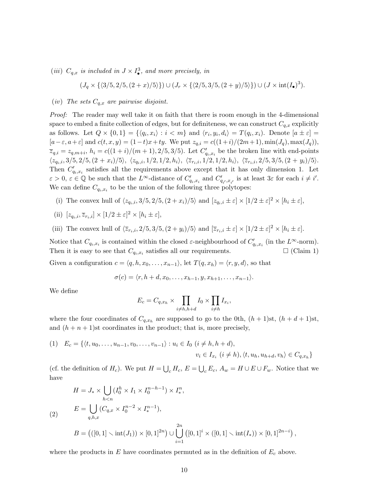(iii)  $C_{q,x}$  is included in  $J \times I^3_{\bullet}$ , and more precisely, in

$$
(J_q \times \{ \langle 3/5, 2/5, (2+x)/5 \rangle \}) \cup (J_r \times \{ \langle 2/5, 3/5, (2+y)/5 \rangle \}) \cup (J \times \text{int}(I_{\bullet})^3).
$$

(iv) The sets  $C_{q,x}$  are pairwise disjoint.

Proof: The reader may well take it on faith that there is room enough in the 4-dimensional space to embed a finite collection of edges, but for definiteness, we can construct  $C_{q,x}$  explicitly as follows. Let  $Q \times \{0,1\} = \{\langle q_i, x_i \rangle : i < m\}$  and  $\langle r_i, y_i, d_i \rangle = T(q_i, x_i)$ . Denote  $[a \pm \varepsilon] =$  $[a-\varepsilon, a+\varepsilon]$  and  $c(t, x, y) = (1-t)x+ty$ . We put  $z_{q,i} = c((1+i)/(2m+1), \min(J_q), \max(J_q)),$  $\overline{z}_{q,i} = z_{q,m+i}, h_i = c((1+i)/(m+1), 2/5, 3/5)$ . Let  $C'_{q_i,x_i}$  be the broken line with end-points  $\langle z_{q_i,i}, 3/5, 2/5, (2 + x_i)/5 \rangle$ ,  $\langle z_{q_i,i}, 1/2, 1/2, h_i \rangle$ ,  $\langle \overline{z}_{r_i,i}, 1/2, 1/2, h_i \rangle$ ,  $\langle \overline{z}_{r_i,i}, 2/5, 3/5, (2 + y_i)/5 \rangle$ . Then  $C'_{q_i,x_i}$  satisfies all the requirements above except that it has only dimension 1. Let  $\varepsilon > 0$ ,  $\varepsilon \in \mathbb{Q}$  be such that the  $L^{\infty}$ -distance of  $C'_{q_i,x_i}$  and  $C'_{q_i,x_{i'}}$  is at least  $3\varepsilon$  for each  $i \neq i'$ . We can define  $C_{q_i,x_i}$  to be the union of the following three polytopes:

(i) The convex hull of  $\langle z_{q_i,i}, 3/5, 2/5, (2 + x_i)/5 \rangle$  and  $[z_{q_i,i} \pm \varepsilon] \times [1/2 \pm \varepsilon]^2 \times [h_i \pm \varepsilon]$ ,

(ii) 
$$
[z_{q_i,i}, \overline{z}_{r_i,i}] \times [1/2 \pm \varepsilon]^2 \times [h_i \pm \varepsilon],
$$

(iii) The convex hull of  $\langle \overline{z}_{r_i,i}, 2/5, 3/5, (2 + y_i)/5 \rangle$  and  $[\overline{z}_{r_i,i} \pm \varepsilon] \times [1/2 \pm \varepsilon]^2 \times [h_i \pm \varepsilon]$ .

Notice that  $C_{q_i,x_i}$  is contained within the closed  $\varepsilon$ -neighbourhood of  $C'_{q_i,x_i}$  (in the  $L^{\infty}$ -norm). Then it is easy to see that  $C_{q_i,x_i}$  satisfies all our requirements.  $\square$  (Claim 1) Given a configuration  $c = \langle q, h, x_0, \ldots, x_{n-1} \rangle$ , let  $T(q, x_h) = \langle r, y, d \rangle$ , so that

$$
\sigma(c) = \langle r, h + d, x_0, \dots, x_{h-1}, y, x_{h+1}, \dots, x_{n-1} \rangle.
$$

We define

$$
E_c = C_{q,x_h} \times \prod_{i \neq h,h+d} I_0 \times \prod_{i \neq h} I_{x_i},
$$

where the four coordinates of  $C_{q,x_h}$  are supposed to go to the 0th,  $(h+1)$ st,  $(h+d+1)$ st, and  $(h + n + 1)$ st coordinates in the product; that is, more precisely,

$$
(1) \quad E_c = \{ \langle t, u_0, \dots, u_{n-1}, v_0, \dots, v_{n-1} \rangle : u_i \in I_0 \ (i \neq h, h+d),
$$

$$
v_i \in I_{x_i} \ (i \neq h), \langle t, u_h, u_{h+d}, v_h \rangle \in C_{q, x_h} \}
$$

(cf. the definition of  $H_c$ ). We put  $H = \bigcup_c H_c$ ,  $E = \bigcup_c E_c$ ,  $A_w = H \cup E \cup F_w$ . Notice that we have

$$
H = J_* \times \bigcup_{h < n} (I_0^h \times I_1 \times I_0^{n-h-1}) \times I_*^n,
$$
\n
$$
E = \bigcup_{q,h,x} (C_{q,x} \times I_0^{n-2} \times I_*^{n-1}),
$$
\n
$$
B = \left( ([0,1] \times \text{int}(J_1)) \times [0,1]^{2n} \right) \cup \bigcup_{i=1}^{2n} \left( [0,1]^i \times ([0,1] \times \text{int}(I_*)) \times [0,1]^{2n-i} \right),
$$

where the products in  $E$  have coordinates permuted as in the definition of  $E_c$  above.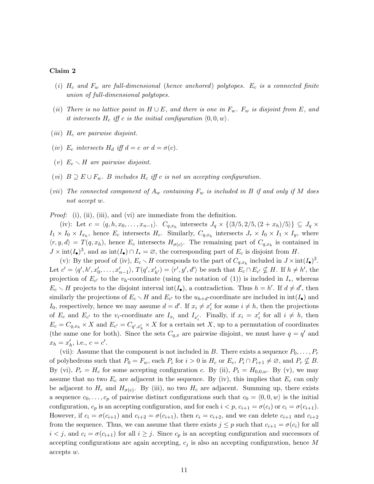#### Claim 2

- (i)  $H_c$  and  $F_w$  are full-dimensional (hence anchored) polytopes.  $E_c$  is a connected finite union of full-dimensional polytopes.
- (ii) There is no lattice point in  $H \cup E$ , and there is one in  $F_w$ .  $F_w$  is disjoint from E, and it intersects  $H_c$  iff c is the initial configuration  $\langle 0, 0, w \rangle$ .
- (*iii*)  $H_c$  are pairwise disjoint.
- (iv)  $E_c$  intersects  $H_d$  iff  $d = c$  or  $d = \sigma(c)$ .
- (v)  $E_c \setminus H$  are pairwise disjoint.
- (vi)  $B \supseteq E \cup F_w$ . B includes  $H_c$  iff c is not an accepting configuration.
- (vii) The connected component of  $A_w$  containing  $F_w$  is included in B if and only if M does not accept w.

Proof: (i), (ii), (iii), and (vi) are immediate from the definition.

(iv): Let  $c = \langle q, h, x_0, \ldots, x_{n-1} \rangle$ .  $C_{q,x_h}$  intersects  $J_q \times \{ \langle 3/5, 2/5, (2+x_h)/5 \rangle \} \subseteq J_q \times$  $I_1 \times I_0 \times I_{x_h}$ , hence  $E_c$  intersects  $H_c$ . Similarly,  $C_{q,x_h}$  intersects  $J_r \times I_0 \times I_1 \times I_y$ , where  $\langle r, y, d \rangle = T(q, x_h)$ , hence  $E_c$  intersects  $H_{\sigma(c)}$ . The remaining part of  $C_{q,x_h}$  is contained in  $J \times \text{int}(I_{\bullet})^3$ , and as  $\text{int}(I_{\bullet}) \cap I_{*} = \varnothing$ , the corresponding part of  $E_c$  is disjoint from H.

(v): By the proof of (iv),  $E_c \setminus H$  corresponds to the part of  $C_{q,x_h}$  included in  $J \times \text{int}(I_{\bullet})^3$ . Let  $c' = \langle q', h', x_0', \ldots, x_{n-1}' \rangle$ ,  $T(q', x_{h'}') = \langle r', y', d' \rangle$  be such that  $E_c \cap E_{c'} \nsubseteq H$ . If  $h \neq h'$ , the projection of  $E_{c'}$  to the  $v_h$ -coordinate (using the notation of (1)) is included in  $I_*$ , whereas  $E_c \setminus H$  projects to the disjoint interval int( $I_{\bullet}$ ), a contradiction. Thus  $h = h'$ . If  $d \neq d'$ , then similarly the projections of  $E_c \setminus H$  and  $E_{c'}$  to the  $u_{h+d}$ -coordinate are included in  $int(I_{\bullet})$  and  $I_0$ , respectively, hence we may assume  $d = d'$ . If  $x_i \neq x'_i$  for some  $i \neq h$ , then the projections of  $E_c$  and  $E_{c'}$  to the  $v_i$ -coordinate are  $I_{x_i}$  and  $I_{x'_i}$ . Finally, if  $x_i = x'_i$  for all  $i \neq h$ , then  $E_c = C_{q,x_h} \times X$  and  $E_{c'} = C_{q',x'_h} \times X$  for a certain set X, up to a permutation of coordinates (the same one for both). Since the sets  $C_{q,x}$  are pairwise disjoint, we must have  $q = q'$  and  $x_h = x'_h$ , i.e.,  $c = c'$ .

(vii): Assume that the component is not included in B. There exists a sequence  $P_0, \ldots, P_r$ of polyhedrons such that  $P_0 = F_w$ , each  $P_i$  for  $i > 0$  is  $H_c$  or  $E_c$ ,  $P_i \cap P_{i+1} \neq \emptyset$ , and  $P_r \nsubseteq B$ . By (vi),  $P_r = H_c$  for some accepting configuration c. By (ii),  $P_1 = H_{0,0,w}$ . By (v), we may assume that no two  $E_c$  are adjacent in the sequence. By (iv), this implies that  $E_c$  can only be adjacent to  $H_c$  and  $H_{\sigma(c)}$ . By (iii), no two  $H_c$  are adjacent. Summing up, there exists a sequence  $c_0, \ldots, c_p$  of pairwise distinct configurations such that  $c_0 = \langle 0, 0, w \rangle$  is the initial configuration,  $c_p$  is an accepting configuration, and for each  $i < p$ ,  $c_{i+1} = \sigma(c_i)$  or  $c_i = \sigma(c_{i+1})$ . However, if  $c_i = \sigma(c_{i+1})$  and  $c_{i+2} = \sigma(c_{i+1})$ , then  $c_i = c_{i+2}$ , and we can delete  $c_{i+1}$  and  $c_{i+2}$ from the sequence. Thus, we can assume that there exists  $j \leq p$  such that  $c_{i+1} = \sigma(c_i)$  for all  $i < j$ , and  $c_i = \sigma(c_{i+1})$  for all  $i \geq j$ . Since  $c_p$  is an accepting configuration and successors of accepting configurations are again accepting,  $c_j$  is also an accepting configuration, hence M accepts w.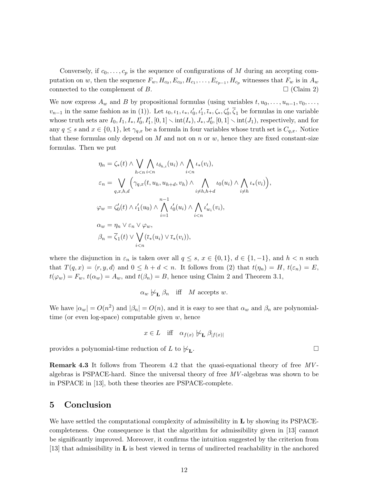Conversely, if  $c_0, \ldots, c_p$  is the sequence of configurations of M during an accepting computation on w, then the sequence  $F_w$ ,  $H_{c_0}$ ,  $E_{c_0}$ ,  $H_{c_1}$ , ...,  $E_{c_{p-1}}$ ,  $H_{c_p}$  witnesses that  $F_w$  is in  $A_w$ connected to the complement of B.  $\Box$  (Claim 2)

We now express  $A_w$  and B by propositional formulas (using variables  $t, u_0, \ldots, u_{n-1}, v_0, \ldots, v_n$  $v_{n-1}$  in the same fashion as in (1)). Let  $\iota_0, \iota_1, \iota_*, \iota'_0, \iota'_1, \overline{\iota}_*, \zeta_*, \zeta'_0, \overline{\zeta}_1$  be formulas in one variable whose truth sets are  $I_0, I_1, I_*, I'_0, I'_1, [0, 1] \setminus \text{int}(I_*)$ ,  $J_*, J'_0, [0, 1] \setminus \text{int}(J_1)$ , respectively, and for any  $q \leq s$  and  $x \in \{0, 1\}$ , let  $\gamma_{q,x}$  be a formula in four variables whose truth set is  $C_{q,x}$ . Notice that these formulas only depend on M and not on n or w, hence they are fixed constant-size formulas. Then we put

$$
\eta_n = \zeta_*(t) \wedge \bigvee_{h < n} \bigwedge_{i < n} \iota_{\delta_{h,i}}(u_i) \wedge \bigwedge_{i < n} \iota_*(v_i),
$$
\n
$$
\varepsilon_n = \bigvee_{q,x,h,d} \left( \gamma_{q,x}(t, u_h, u_{h+d}, v_h) \wedge \bigwedge_{i \neq h,h+d} \iota_0(u_i) \wedge \bigwedge_{i \neq h} \iota_*(v_i) \right),
$$
\n
$$
\varphi_w = \zeta'_0(t) \wedge \iota'_1(u_0) \wedge \bigwedge_{i=1}^{n-1} \iota'_0(u_i) \wedge \bigwedge_{i < n} \iota'_{w_i}(v_i),
$$
\n
$$
\alpha_w = \eta_n \vee \varepsilon_n \vee \varphi_w,
$$
\n
$$
\beta_n = \overline{\zeta}_1(t) \vee \bigvee_{i < n} (\overline{\iota}_*(u_i) \vee \overline{\iota}_*(v_i)),
$$

where the disjunction in  $\varepsilon_n$  is taken over all  $q \leq s, x \in \{0,1\}, d \in \{1,-1\},$  and  $h < n$  such that  $T(q, x) = \langle r, y, d \rangle$  and  $0 \leq h + d < n$ . It follows from (2) that  $t(\eta_n) = H$ ,  $t(\varepsilon_n) = E$ ,  $t(\varphi_w) = F_w$ ,  $t(\alpha_w) = A_w$ , and  $t(\beta_n) = B$ , hence using Claim 2 and Theorem 3.1,

$$
\alpha_w \not\sim_{\mathbf{L}} \beta_n
$$
 iff *M* accepts *w*.

We have  $|\alpha_w| = O(n^2)$  and  $|\beta_n| = O(n)$ , and it is easy to see that  $\alpha_w$  and  $\beta_n$  are polynomialtime (or even log-space) computable given  $w$ , hence

$$
x \in L \quad \text{iff} \quad \alpha_{f(x)} \not\sim_{\mathbf{L}} \beta_{|f(x)|}
$$

provides a polynomial-time reduction of L to  $\not\vdash_L$ .

Remark 4.3 It follows from Theorem 4.2 that the quasi-equational theory of free MV algebras is PSPACE-hard. Since the universal theory of free MV -algebras was shown to be in PSPACE in [13], both these theories are PSPACE-complete.

## 5 Conclusion

We have settled the computational complexity of admissibility in  $E$  by showing its PSPACEcompleteness. One consequence is that the algorithm for admissibility given in [13] cannot be significantly improved. Moreover, it confirms the intuition suggested by the criterion from [13] that admissibility in L is best viewed in terms of undirected reachability in the anchored

.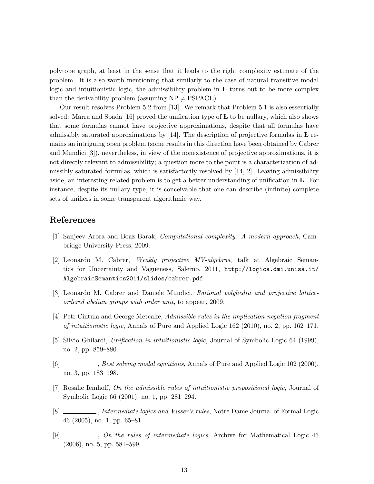polytope graph, at least in the sense that it leads to the right complexity estimate of the problem. It is also worth mentioning that similarly to the case of natural transitive modal logic and intuitionistic logic, the admissibility problem in  **turns out to be more complex** than the derivability problem (assuming  $NP \neq PSPACE$ ).

Our result resolves Problem 5.2 from [13]. We remark that Problem 5.1 is also essentially solved: Marra and Spada [16] proved the unification type of  **to be nullary, which also shows** that some formulas cannot have projective approximations, despite that all formulas have admissibly saturated approximations by  $[14]$ . The description of projective formulas in **L** remains an intriguing open problem (some results in this direction have been obtained by Cabrer and Mundici [3]), nevertheless, in view of the nonexistence of projective approximations, it is not directly relevant to admissibility; a question more to the point is a characterization of admissibly saturated formulas, which is satisfactorily resolved by [14, 2]. Leaving admissibility aside, an interesting related problem is to get a better understanding of unification in L. For instance, despite its nullary type, it is conceivable that one can describe (infinite) complete sets of unifiers in some transparent algorithmic way.

# References

- [1] Sanjeev Arora and Boaz Barak, Computational complexity: A modern approach, Cambridge University Press, 2009.
- [2] Leonardo M. Cabrer, Weakly projective MV-algebras, talk at Algebraic Semantics for Uncertainty and Vagueness, Salerno, 2011, http://logica.dmi.unisa.it/ AlgebraicSemantics2011/slides/cabrer.pdf.
- [3] Leonardo M. Cabrer and Daniele Mundici, Rational polyhedra and projective latticeordered abelian groups with order unit, to appear, 2009.
- [4] Petr Cintula and George Metcalfe, Admissible rules in the implication-negation fragment of intuitionistic logic, Annals of Pure and Applied Logic 162 (2010), no. 2, pp. 162–171.
- [5] Silvio Ghilardi, Unification in intuitionistic logic, Journal of Symbolic Logic 64 (1999), no. 2, pp. 859–880.
- [6] Sest solving modal equations, Annals of Pure and Applied Logic 102 (2000), no. 3, pp. 183–198.
- [7] Rosalie Iemhoff, On the admissible rules of intuitionistic propositional logic, Journal of Symbolic Logic 66 (2001), no. 1, pp. 281–294.
- [8] Journal Logics and Visser's rules, Notre Dame Journal of Formal Logic 46 (2005), no. 1, pp. 65–81.
- [9]  $\ldots$ , On the rules of intermediate logics, Archive for Mathematical Logic 45 (2006), no. 5, pp. 581–599.